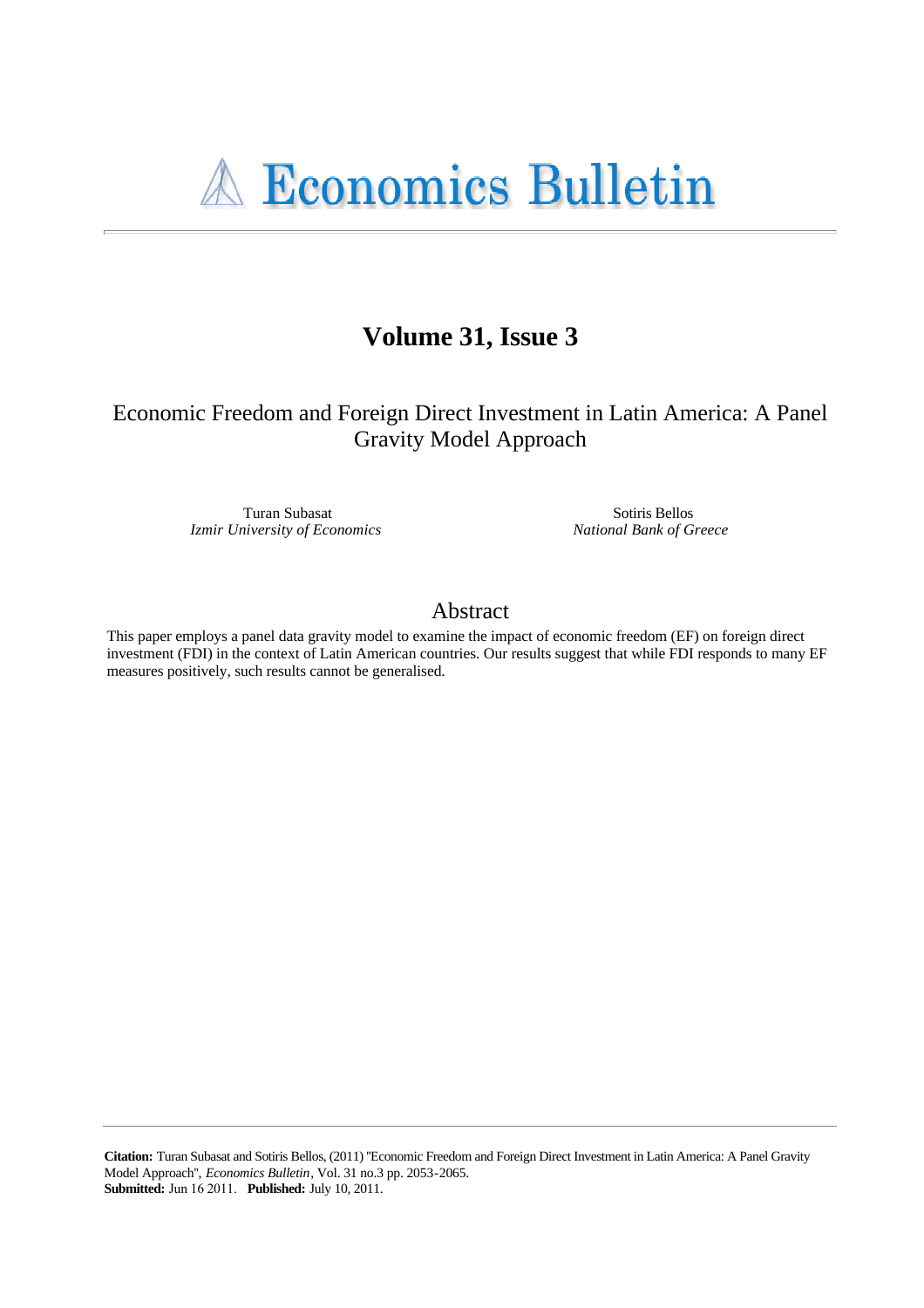

# Volume 31, Issue 3

Economic Freedom and Foreign Direct Investment in Latin America: A Panel **Gravity Model Approach** 

> Turan Subasat Izmir University of Economics

Sotiris Bellos National Bank of Greece

# Abstract

This paper employs a panel data gravity model to examine the impact of economic freedom (EF) on foreign direct investment (FDI) in the context of Latin American countries. Our results suggest that while FDI responds to many EF measures positively, such results cannot be generalised.

Citation: Turan Subasat and Sotiris Bellos, (2011) "Economic Freedom and Foreign Direct Investment in Latin America: A Panel Gravity Model Approach", Economics Bulletin, Vol. 31 no.3 pp. 2053-2065. **Submitted:** Jun 16 2011. Published: July 10, 2011.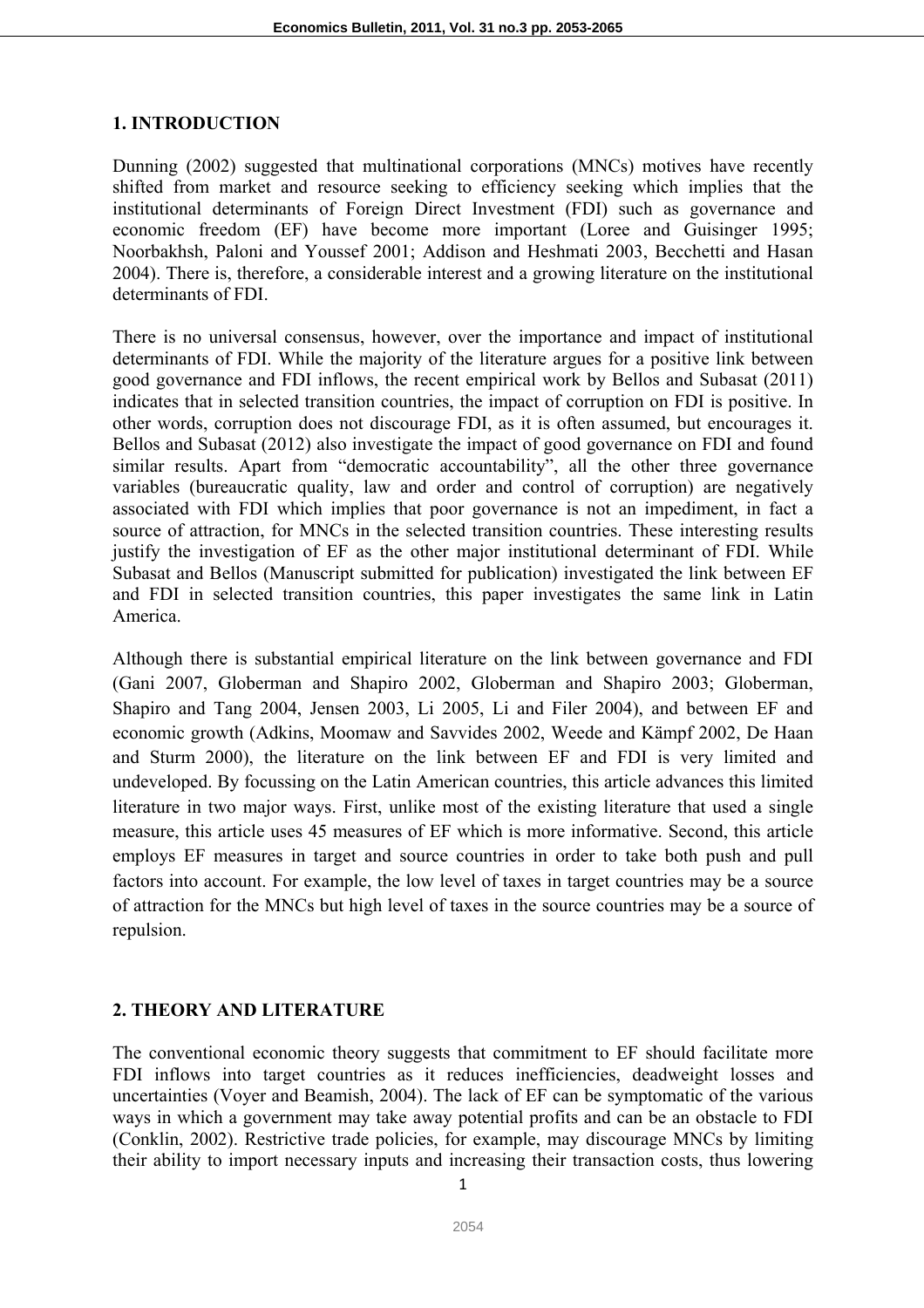## **1. INTRODUCTION**

Dunning (2002) suggested that multinational corporations (MNCs) motives have recently shifted from market and resource seeking to efficiency seeking which implies that the institutional determinants of Foreign Direct Investment (FDI) such as governance and economic freedom (EF) have become more important (Loree and Guisinger 1995; Noorbakhsh, Paloni and Youssef 2001; Addison and Heshmati 2003, Becchetti and Hasan 2004). There is, therefore, a considerable interest and a growing literature on the institutional determinants of FDI.

There is no universal consensus, however, over the importance and impact of institutional determinants of FDI. While the majority of the literature argues for a positive link between good governance and FDI inflows, the recent empirical work by Bellos and Subasat (2011) indicates that in selected transition countries, the impact of corruption on FDI is positive. In other words, corruption does not discourage FDI, as it is often assumed, but encourages it. Bellos and Subasat (2012) also investigate the impact of good governance on FDI and found similar results. Apart from "democratic accountability", all the other three governance variables (bureaucratic quality, law and order and control of corruption) are negatively associated with FDI which implies that poor governance is not an impediment, in fact a source of attraction, for MNCs in the selected transition countries. These interesting results justify the investigation of EF as the other major institutional determinant of FDI. While Subasat and Bellos (Manuscript submitted for publication) investigated the link between EF and FDI in selected transition countries, this paper investigates the same link in Latin America.

Although there is substantial empirical literature on the link between governance and FDI (Gani 2007, Globerman and Shapiro 2002, Globerman and Shapiro 2003; Globerman, Shapiro and Tang 2004, Jensen 2003, Li 2005, Li and Filer 2004), and between EF and economic growth (Adkins, Moomaw and Savvides 2002, Weede and Kämpf 2002, De Haan and Sturm 2000), the literature on the link between EF and FDI is very limited and undeveloped. By focussing on the Latin American countries, this article advances this limited literature in two major ways. First, unlike most of the existing literature that used a single measure, this article uses 45 measures of EF which is more informative. Second, this article employs EF measures in target and source countries in order to take both push and pull factors into account. For example, the low level of taxes in target countries may be a source of attraction for the MNCs but high level of taxes in the source countries may be a source of repulsion.

#### **2. THEORY AND LITERATURE**

The conventional economic theory suggests that commitment to EF should facilitate more FDI inflows into target countries as it reduces inefficiencies, deadweight losses and uncertainties (Voyer and Beamish, 2004). The lack of EF can be symptomatic of the various ways in which a government may take away potential profits and can be an obstacle to FDI (Conklin, 2002). Restrictive trade policies, for example, may discourage MNCs by limiting their ability to import necessary inputs and increasing their transaction costs, thus lowering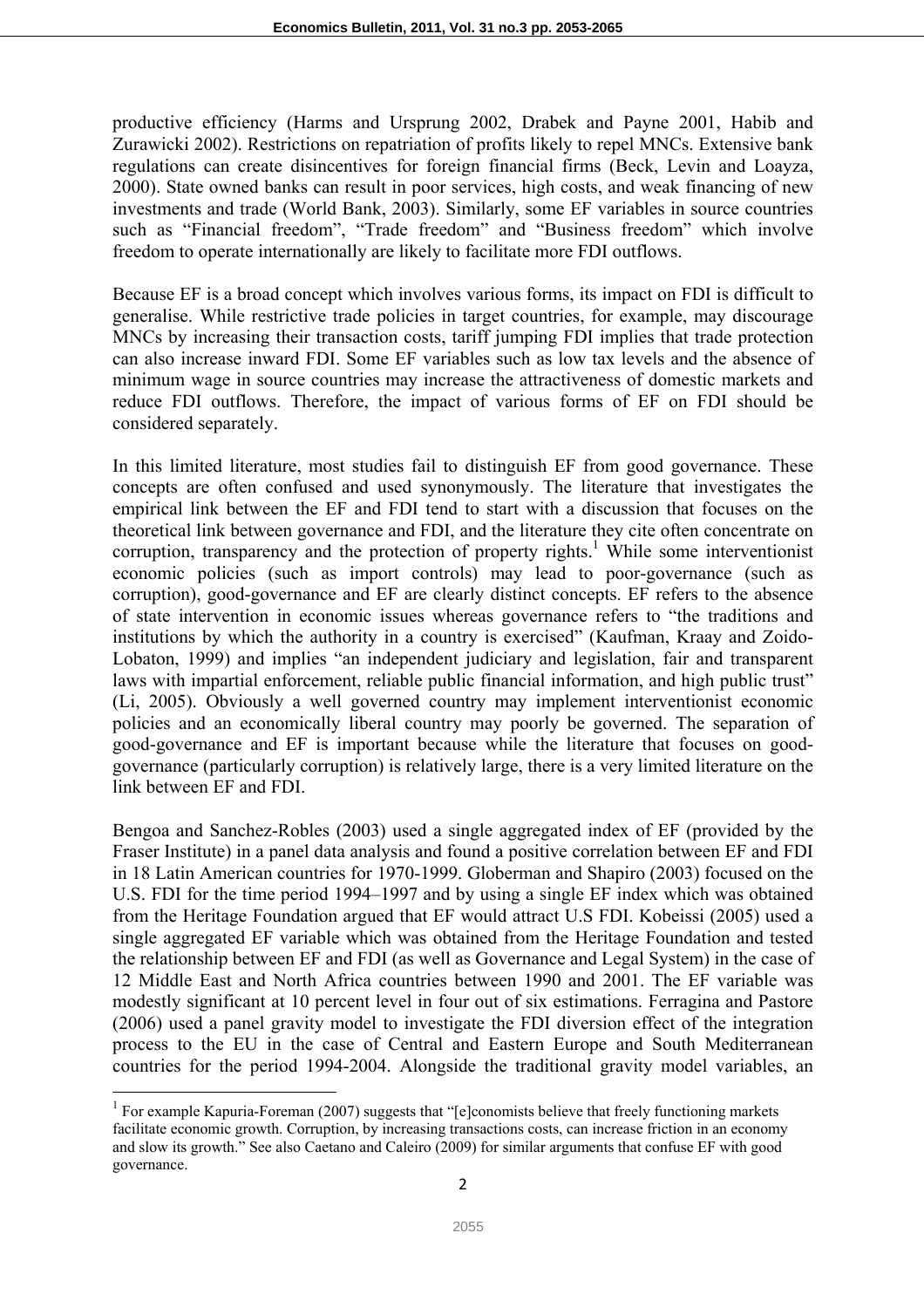productive efficiency (Harms and Ursprung 2002, Drabek and Payne 2001, Habib and Zurawicki 2002). Restrictions on repatriation of profits likely to repel MNCs. Extensive bank regulations can create disincentives for foreign financial firms (Beck, Levin and Loayza, 2000). State owned banks can result in poor services, high costs, and weak financing of new investments and trade (World Bank, 2003). Similarly, some EF variables in source countries such as "Financial freedom", "Trade freedom" and "Business freedom" which involve freedom to operate internationally are likely to facilitate more FDI outflows.

Because EF is a broad concept which involves various forms, its impact on FDI is difficult to generalise. While restrictive trade policies in target countries, for example, may discourage MNCs by increasing their transaction costs, tariff jumping FDI implies that trade protection can also increase inward FDI. Some EF variables such as low tax levels and the absence of minimum wage in source countries may increase the attractiveness of domestic markets and reduce FDI outflows. Therefore, the impact of various forms of EF on FDI should be considered separately.

In this limited literature, most studies fail to distinguish EF from good governance. These concepts are often confused and used synonymously. The literature that investigates the empirical link between the EF and FDI tend to start with a discussion that focuses on the theoretical link between governance and FDI, and the literature they cite often concentrate on corruption, transparency and the protection of property rights.<sup>1</sup> While some interventionist economic policies (such as import controls) may lead to poor-governance (such as corruption), good-governance and EF are clearly distinct concepts. EF refers to the absence of state intervention in economic issues whereas governance refers to "the traditions and institutions by which the authority in a country is exercised" (Kaufman, Kraay and Zoido-Lobaton, 1999) and implies "an independent judiciary and legislation, fair and transparent laws with impartial enforcement, reliable public financial information, and high public trust" (Li, 2005). Obviously a well governed country may implement interventionist economic policies and an economically liberal country may poorly be governed. The separation of good-governance and EF is important because while the literature that focuses on goodgovernance (particularly corruption) is relatively large, there is a very limited literature on the link between EF and FDI.

Bengoa and Sanchez-Robles (2003) used a single aggregated index of EF (provided by the Fraser Institute) in a panel data analysis and found a positive correlation between EF and FDI in 18 Latin American countries for 1970-1999. Globerman and Shapiro (2003) focused on the U.S. FDI for the time period 1994–1997 and by using a single EF index which was obtained from the Heritage Foundation argued that EF would attract U.S FDI. Kobeissi (2005) used a single aggregated EF variable which was obtained from the Heritage Foundation and tested the relationship between EF and FDI (as well as Governance and Legal System) in the case of 12 Middle East and North Africa countries between 1990 and 2001. The EF variable was modestly significant at 10 percent level in four out of six estimations. Ferragina and Pastore (2006) used a panel gravity model to investigate the FDI diversion effect of the integration process to the EU in the case of Central and Eastern Europe and South Mediterranean countries for the period 1994-2004. Alongside the traditional gravity model variables, an

 $\overline{\phantom{a}}$ 

<sup>&</sup>lt;sup>1</sup> For example Kapuria-Foreman (2007) suggests that "[e]conomists believe that freely functioning markets facilitate economic growth. Corruption, by increasing transactions costs, can increase friction in an economy and slow its growth." See also Caetano and Caleiro (2009) for similar arguments that confuse EF with good governance.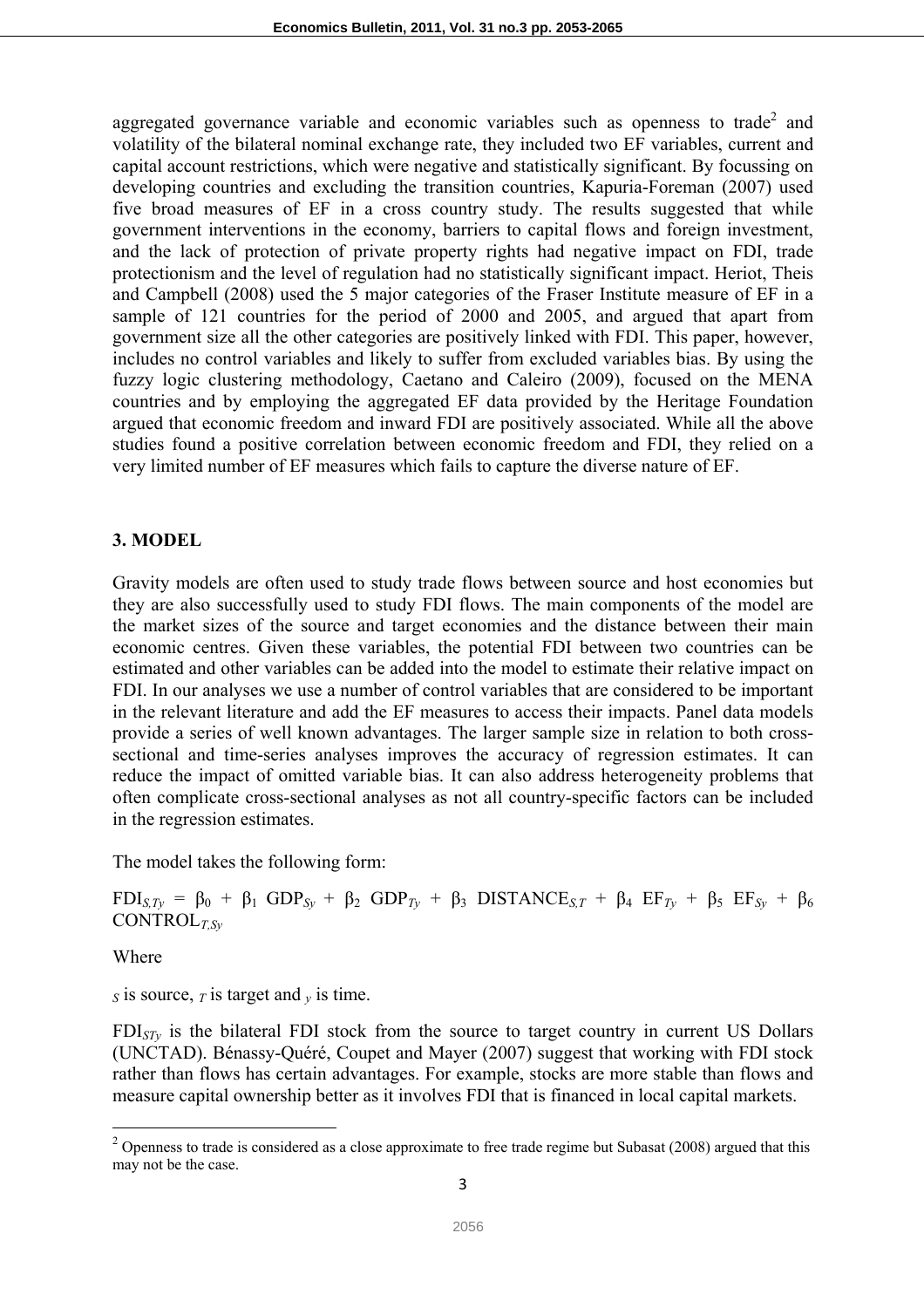aggregated governance variable and economic variables such as openness to trade<sup>2</sup> and volatility of the bilateral nominal exchange rate, they included two EF variables, current and capital account restrictions, which were negative and statistically significant. By focussing on developing countries and excluding the transition countries, Kapuria-Foreman (2007) used five broad measures of EF in a cross country study. The results suggested that while government interventions in the economy, barriers to capital flows and foreign investment, and the lack of protection of private property rights had negative impact on FDI, trade protectionism and the level of regulation had no statistically significant impact. Heriot, Theis and Campbell (2008) used the 5 major categories of the Fraser Institute measure of EF in a sample of 121 countries for the period of 2000 and 2005, and argued that apart from government size all the other categories are positively linked with FDI. This paper, however, includes no control variables and likely to suffer from excluded variables bias. By using the fuzzy logic clustering methodology, Caetano and Caleiro (2009), focused on the MENA countries and by employing the aggregated EF data provided by the Heritage Foundation argued that economic freedom and inward FDI are positively associated. While all the above studies found a positive correlation between economic freedom and FDI, they relied on a very limited number of EF measures which fails to capture the diverse nature of EF.

#### **3. MODEL**

Gravity models are often used to study trade flows between source and host economies but they are also successfully used to study FDI flows. The main components of the model are the market sizes of the source and target economies and the distance between their main economic centres. Given these variables, the potential FDI between two countries can be estimated and other variables can be added into the model to estimate their relative impact on FDI. In our analyses we use a number of control variables that are considered to be important in the relevant literature and add the EF measures to access their impacts. Panel data models provide a series of well known advantages. The larger sample size in relation to both crosssectional and time-series analyses improves the accuracy of regression estimates. It can reduce the impact of omitted variable bias. It can also address heterogeneity problems that often complicate cross-sectional analyses as not all country-specific factors can be included in the regression estimates.

The model takes the following form:

FDI<sub>S,Ty</sub> = β<sub>0</sub> + β<sub>1</sub> GDP<sub>Sy</sub> + β<sub>2</sub> GDP<sub>Ty</sub> + β<sub>3</sub> DISTANCE<sub>S,T</sub> + β<sub>4</sub> EF<sub>Ty</sub> + β<sub>5</sub> EF<sub>Sy</sub> + β<sub>6</sub> CONTROL*T,Sy*

Where

 $\overline{\phantom{a}}$ 

*S* is source,  $\tau$  is target and  $\theta$  is time.

FDI*STy* is the bilateral FDI stock from the source to target country in current US Dollars (UNCTAD). Bénassy-Quéré, Coupet and Mayer (2007) suggest that working with FDI stock rather than flows has certain advantages. For example, stocks are more stable than flows and measure capital ownership better as it involves FDI that is financed in local capital markets.

 $2$  Openness to trade is considered as a close approximate to free trade regime but Subasat (2008) argued that this may not be the case.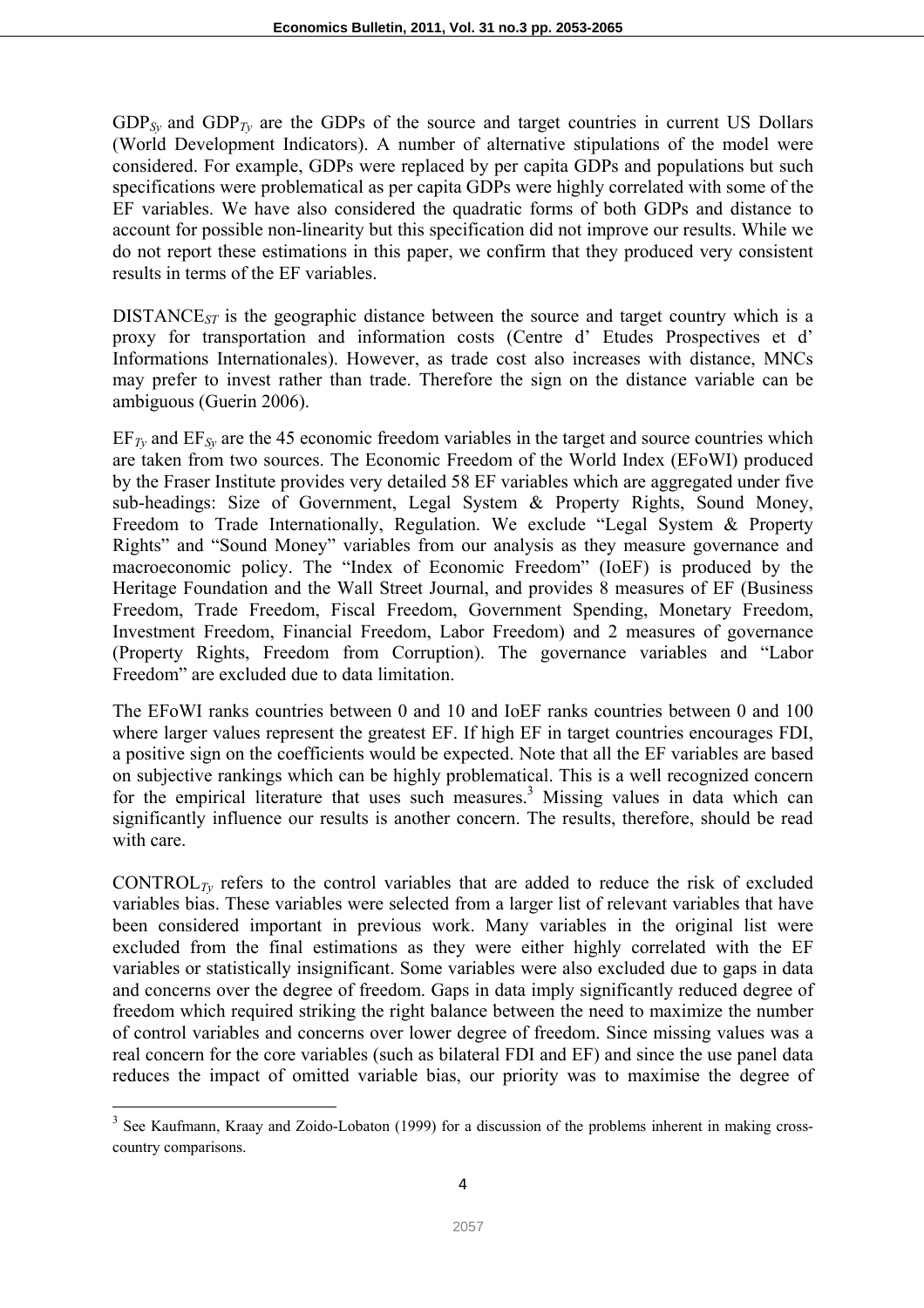$GDP_{Sv}$  and  $GDP_{Tv}$  are the GDPs of the source and target countries in current US Dollars (World Development Indicators). A number of alternative stipulations of the model were considered. For example, GDPs were replaced by per capita GDPs and populations but such specifications were problematical as per capita GDPs were highly correlated with some of the EF variables. We have also considered the quadratic forms of both GDPs and distance to account for possible non-linearity but this specification did not improve our results. While we do not report these estimations in this paper, we confirm that they produced very consistent results in terms of the EF variables.

DISTANCE*ST* is the geographic distance between the source and target country which is a proxy for transportation and information costs (Centre d' Etudes Prospectives et d' Informations Internationales). However, as trade cost also increases with distance, MNCs may prefer to invest rather than trade. Therefore the sign on the distance variable can be ambiguous (Guerin 2006).

 $EF_{Tv}$  and  $EF_{Sv}$  are the 45 economic freedom variables in the target and source countries which are taken from two sources. The Economic Freedom of the World Index (EFoWI) produced by the Fraser Institute provides very detailed 58 EF variables which are aggregated under five sub-headings: Size of Government, Legal System & Property Rights, Sound Money, Freedom to Trade Internationally, Regulation. We exclude "Legal System & Property Rights" and "Sound Money" variables from our analysis as they measure governance and macroeconomic policy. The "Index of Economic Freedom" (IoEF) is produced by the Heritage Foundation and the Wall Street Journal, and provides 8 measures of EF (Business Freedom, Trade Freedom, Fiscal Freedom, Government Spending, Monetary Freedom, Investment Freedom, Financial Freedom, Labor Freedom) and 2 measures of governance (Property Rights, Freedom from Corruption). The governance variables and "Labor Freedom" are excluded due to data limitation.

The EFoWI ranks countries between 0 and 10 and IoEF ranks countries between 0 and 100 where larger values represent the greatest EF. If high EF in target countries encourages FDI, a positive sign on the coefficients would be expected. Note that all the EF variables are based on subjective rankings which can be highly problematical. This is a well recognized concern for the empirical literature that uses such measures.<sup>3</sup> Missing values in data which can significantly influence our results is another concern. The results, therefore, should be read with care.

CONTROL<sub>*Ty*</sub> refers to the control variables that are added to reduce the risk of excluded variables bias. These variables were selected from a larger list of relevant variables that have been considered important in previous work. Many variables in the original list were excluded from the final estimations as they were either highly correlated with the EF variables or statistically insignificant. Some variables were also excluded due to gaps in data and concerns over the degree of freedom. Gaps in data imply significantly reduced degree of freedom which required striking the right balance between the need to maximize the number of control variables and concerns over lower degree of freedom. Since missing values was a real concern for the core variables (such as bilateral FDI and EF) and since the use panel data reduces the impact of omitted variable bias, our priority was to maximise the degree of

<sup>&</sup>lt;sup>3</sup> See Kaufmann, Kraay and Zoido-Lobaton (1999) for a discussion of the problems inherent in making crosscountry comparisons.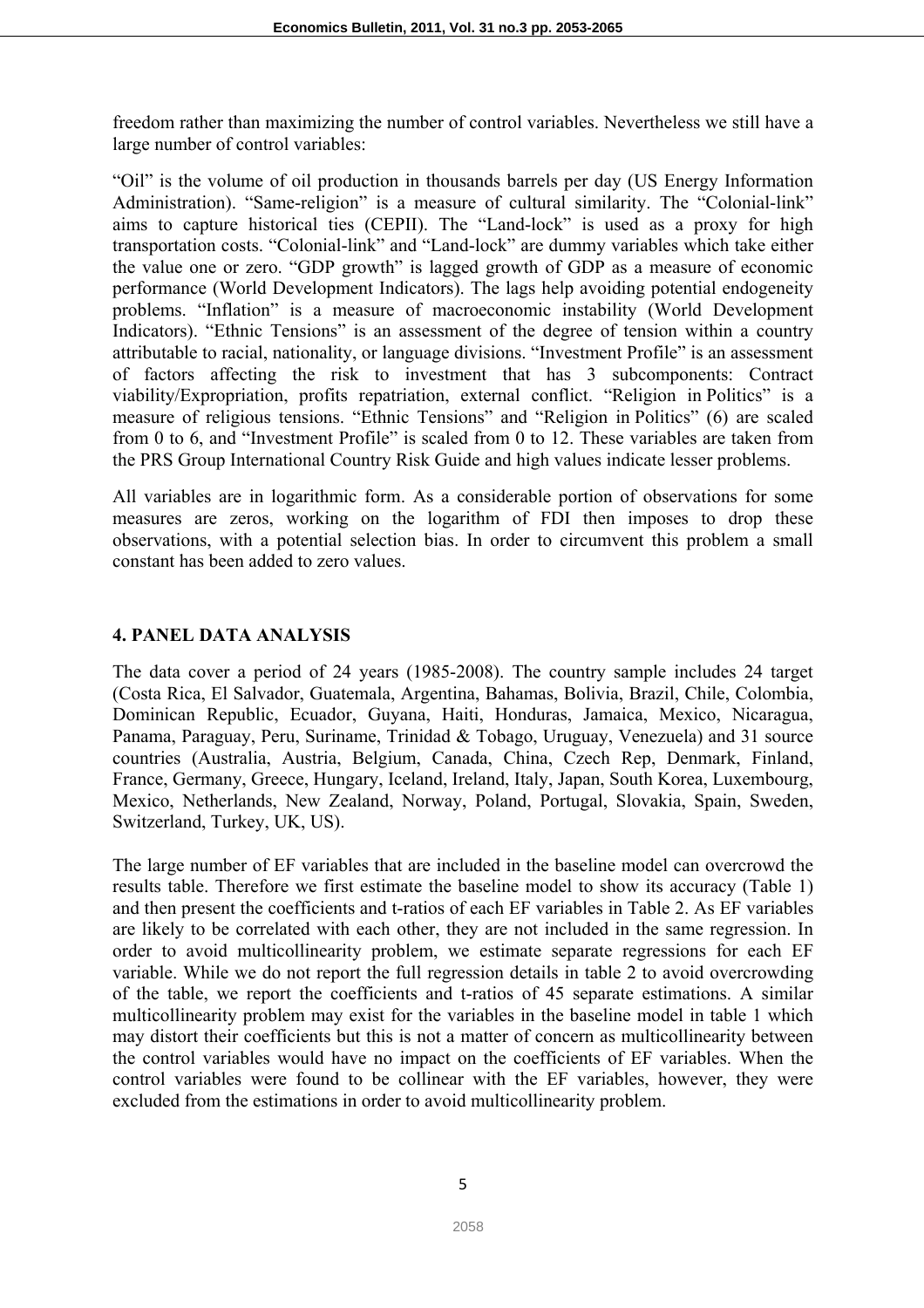freedom rather than maximizing the number of control variables. Nevertheless we still have a large number of control variables:

"Oil" is the volume of oil production in thousands barrels per day (US Energy Information Administration). "Same-religion" is a measure of cultural similarity. The "Colonial-link" aims to capture historical ties (CEPII). The "Land-lock" is used as a proxy for high transportation costs. "Colonial-link" and "Land-lock" are dummy variables which take either the value one or zero. "GDP growth" is lagged growth of GDP as a measure of economic performance (World Development Indicators). The lags help avoiding potential endogeneity problems. "Inflation" is a measure of macroeconomic instability (World Development Indicators). "Ethnic Tensions" is an assessment of the degree of tension within a country attributable to racial, nationality, or language divisions. "Investment Profile" is an assessment of factors affecting the risk to investment that has 3 subcomponents: Contract viability/Expropriation, profits repatriation, external conflict. "Religion in Politics" is a measure of religious tensions. "Ethnic Tensions" and "Religion in Politics" (6) are scaled from 0 to 6, and "Investment Profile" is scaled from 0 to 12. These variables are taken from the PRS Group International Country Risk Guide and high values indicate lesser problems.

All variables are in logarithmic form. As a considerable portion of observations for some measures are zeros, working on the logarithm of FDI then imposes to drop these observations, with a potential selection bias. In order to circumvent this problem a small constant has been added to zero values.

# **4. PANEL DATA ANALYSIS**

The data cover a period of 24 years (1985-2008). The country sample includes 24 target (Costa Rica, El Salvador, Guatemala, Argentina, Bahamas, Bolivia, Brazil, Chile, Colombia, Dominican Republic, Ecuador, Guyana, Haiti, Honduras, Jamaica, Mexico, Nicaragua, Panama, Paraguay, Peru, Suriname, Trinidad & Tobago, Uruguay, Venezuela) and 31 source countries (Australia, Austria, Belgium, Canada, China, Czech Rep, Denmark, Finland, France, Germany, Greece, Hungary, Iceland, Ireland, Italy, Japan, South Korea, Luxembourg, Mexico, Netherlands, New Zealand, Norway, Poland, Portugal, Slovakia, Spain, Sweden, Switzerland, Turkey, UK, US).

The large number of EF variables that are included in the baseline model can overcrowd the results table. Therefore we first estimate the baseline model to show its accuracy (Table 1) and then present the coefficients and t-ratios of each EF variables in Table 2. As EF variables are likely to be correlated with each other, they are not included in the same regression. In order to avoid multicollinearity problem, we estimate separate regressions for each EF variable. While we do not report the full regression details in table 2 to avoid overcrowding of the table, we report the coefficients and t-ratios of 45 separate estimations. A similar multicollinearity problem may exist for the variables in the baseline model in table 1 which may distort their coefficients but this is not a matter of concern as multicollinearity between the control variables would have no impact on the coefficients of EF variables. When the control variables were found to be collinear with the EF variables, however, they were excluded from the estimations in order to avoid multicollinearity problem.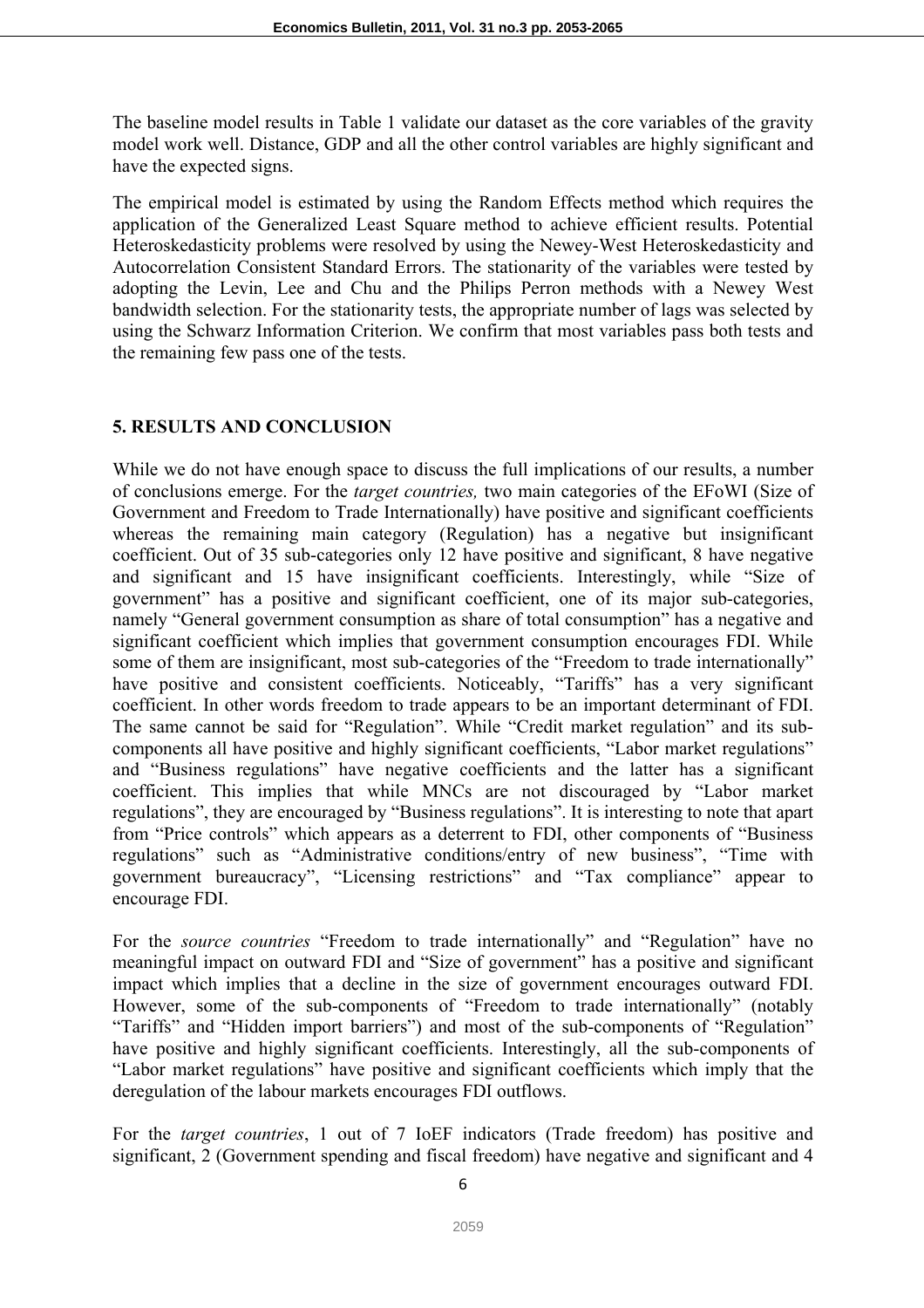The baseline model results in Table 1 validate our dataset as the core variables of the gravity model work well. Distance, GDP and all the other control variables are highly significant and have the expected signs.

The empirical model is estimated by using the Random Effects method which requires the application of the Generalized Least Square method to achieve efficient results. Potential Heteroskedasticity problems were resolved by using the Newey-West Heteroskedasticity and Autocorrelation Consistent Standard Errors. The stationarity of the variables were tested by adopting the Levin, Lee and Chu and the Philips Perron methods with a Newey West bandwidth selection. For the stationarity tests, the appropriate number of lags was selected by using the Schwarz Information Criterion. We confirm that most variables pass both tests and the remaining few pass one of the tests.

#### **5. RESULTS AND CONCLUSION**

While we do not have enough space to discuss the full implications of our results, a number of conclusions emerge. For the *target countries,* two main categories of the EFoWI (Size of Government and Freedom to Trade Internationally) have positive and significant coefficients whereas the remaining main category (Regulation) has a negative but insignificant coefficient. Out of 35 sub-categories only 12 have positive and significant, 8 have negative and significant and 15 have insignificant coefficients. Interestingly, while "Size of government" has a positive and significant coefficient, one of its major sub-categories, namely "General government consumption as share of total consumption" has a negative and significant coefficient which implies that government consumption encourages FDI. While some of them are insignificant, most sub-categories of the "Freedom to trade internationally" have positive and consistent coefficients. Noticeably, "Tariffs" has a very significant coefficient. In other words freedom to trade appears to be an important determinant of FDI. The same cannot be said for "Regulation". While "Credit market regulation" and its subcomponents all have positive and highly significant coefficients, "Labor market regulations" and "Business regulations" have negative coefficients and the latter has a significant coefficient. This implies that while MNCs are not discouraged by "Labor market regulations", they are encouraged by "Business regulations". It is interesting to note that apart from "Price controls" which appears as a deterrent to FDI, other components of "Business regulations" such as "Administrative conditions/entry of new business", "Time with government bureaucracy", "Licensing restrictions" and "Tax compliance" appear to encourage FDI.

For the *source countries* "Freedom to trade internationally" and "Regulation" have no meaningful impact on outward FDI and "Size of government" has a positive and significant impact which implies that a decline in the size of government encourages outward FDI. However, some of the sub-components of "Freedom to trade internationally" (notably "Tariffs" and "Hidden import barriers") and most of the sub-components of "Regulation" have positive and highly significant coefficients. Interestingly, all the sub-components of "Labor market regulations" have positive and significant coefficients which imply that the deregulation of the labour markets encourages FDI outflows.

For the *target countries*, 1 out of 7 IoEF indicators (Trade freedom) has positive and significant, 2 (Government spending and fiscal freedom) have negative and significant and 4

6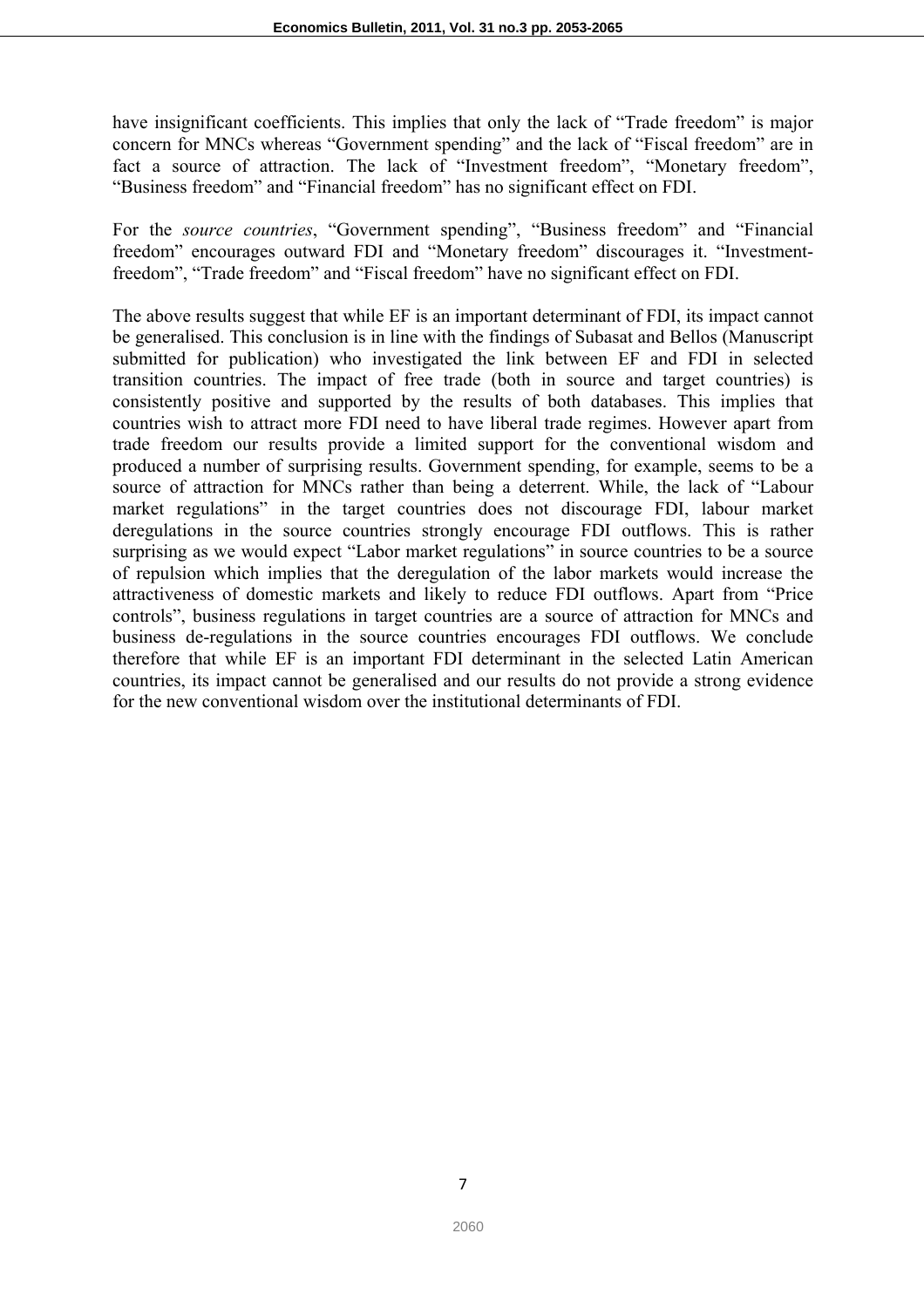have insignificant coefficients. This implies that only the lack of "Trade freedom" is major concern for MNCs whereas "Government spending" and the lack of "Fiscal freedom" are in fact a source of attraction. The lack of "Investment freedom", "Monetary freedom", "Business freedom" and "Financial freedom" has no significant effect on FDI.

For the *source countries*, "Government spending", "Business freedom" and "Financial freedom" encourages outward FDI and "Monetary freedom" discourages it. "Investmentfreedom", "Trade freedom" and "Fiscal freedom" have no significant effect on FDI.

The above results suggest that while EF is an important determinant of FDI, its impact cannot be generalised. This conclusion is in line with the findings of Subasat and Bellos (Manuscript submitted for publication) who investigated the link between EF and FDI in selected transition countries. The impact of free trade (both in source and target countries) is consistently positive and supported by the results of both databases. This implies that countries wish to attract more FDI need to have liberal trade regimes. However apart from trade freedom our results provide a limited support for the conventional wisdom and produced a number of surprising results. Government spending, for example, seems to be a source of attraction for MNCs rather than being a deterrent. While, the lack of "Labour market regulations" in the target countries does not discourage FDI, labour market deregulations in the source countries strongly encourage FDI outflows. This is rather surprising as we would expect "Labor market regulations" in source countries to be a source of repulsion which implies that the deregulation of the labor markets would increase the attractiveness of domestic markets and likely to reduce FDI outflows. Apart from "Price controls", business regulations in target countries are a source of attraction for MNCs and business de-regulations in the source countries encourages FDI outflows. We conclude therefore that while EF is an important FDI determinant in the selected Latin American countries, its impact cannot be generalised and our results do not provide a strong evidence for the new conventional wisdom over the institutional determinants of FDI.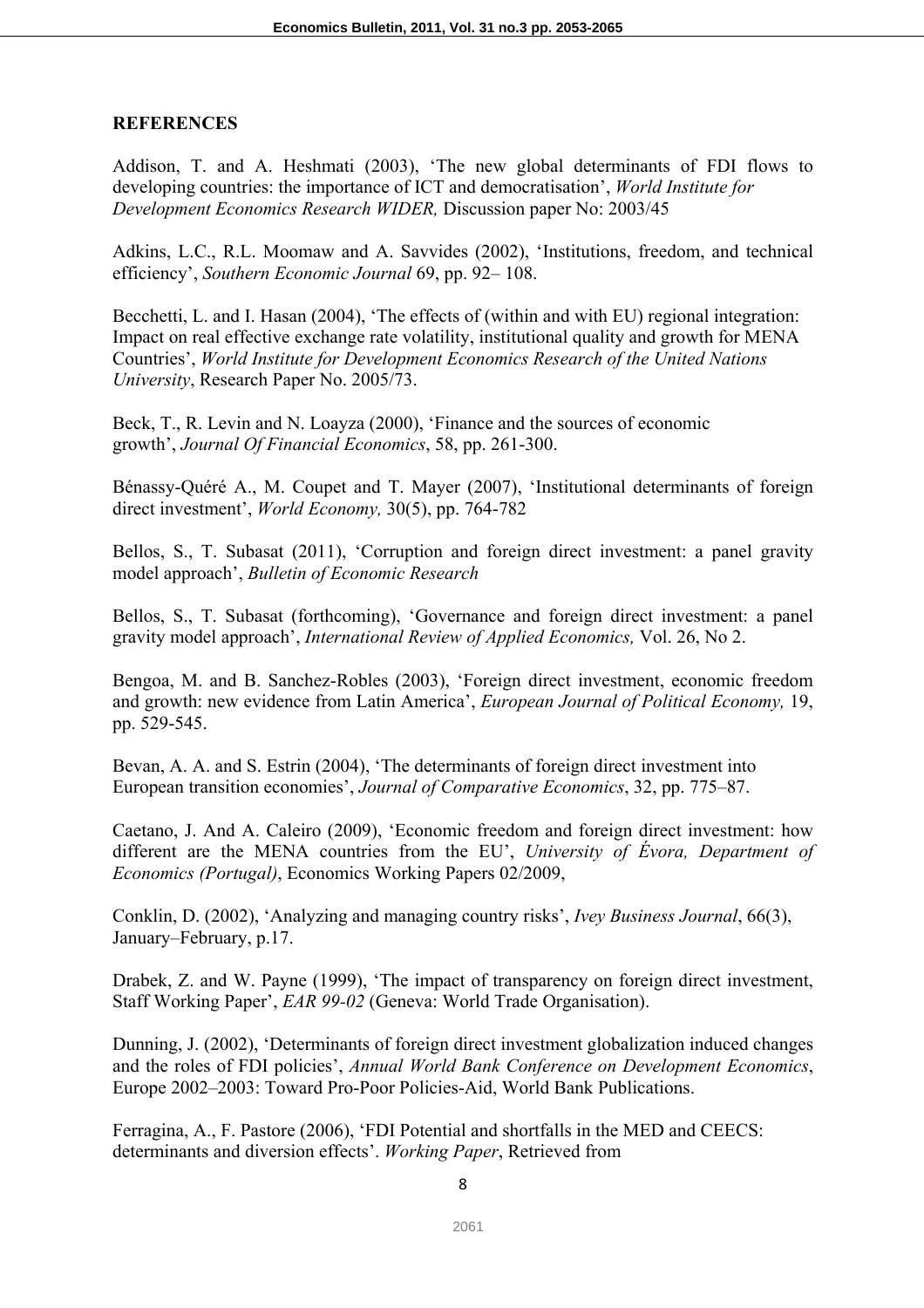## **REFERENCES**

Addison, T. and A. Heshmati (2003), 'The new global determinants of FDI flows to developing countries: the importance of ICT and democratisation', *World Institute for Development Economics Research WIDER,* Discussion paper No: 2003/45

Adkins, L.C., R.L. Moomaw and A. Savvides (2002), 'Institutions, freedom, and technical efficiency', *Southern Economic Journal* 69, pp. 92– 108.

Becchetti, L. and I. Hasan (2004), 'The effects of (within and with EU) regional integration: Impact on real effective exchange rate volatility, institutional quality and growth for MENA Countries', *World Institute for Development Economics Research of the United Nations University*, Research Paper No. 2005/73.

Beck, T., R. Levin and N. Loayza (2000), 'Finance and the sources of economic growth', *Journal Of Financial Economics*, 58, pp. 261-300.

Bénassy-Quéré A., M. Coupet and T. Mayer (2007), 'Institutional determinants of foreign direct investment', *World Economy,* 30(5), pp. 764-782

Bellos, S., T. Subasat (2011), 'Corruption and foreign direct investment: a panel gravity model approach', *Bulletin of Economic Research* 

Bellos, S., T. Subasat (forthcoming), 'Governance and foreign direct investment: a panel gravity model approach', *International Review of Applied Economics,* Vol. 26, No 2.

Bengoa, M. and B. Sanchez-Robles (2003), 'Foreign direct investment, economic freedom and growth: new evidence from Latin America', *European Journal of Political Economy,* 19, pp. 529-545.

Bevan, A. A. and S. Estrin (2004), 'The determinants of foreign direct investment into European transition economies', *Journal of Comparative Economics*, 32, pp. 775–87.

Caetano, J. And A. Caleiro (2009), 'Economic freedom and foreign direct investment: how different are the MENA countries from the EU', *University of Évora, Department of Economics (Portugal)*, Economics Working Papers 02/2009,

Conklin, D. (2002), 'Analyzing and managing country risks', *Ivey Business Journal*, 66(3), January–February, p.17.

Drabek, Z. and W. Payne (1999), 'The impact of transparency on foreign direct investment, Staff Working Paper', *EAR 99-02* (Geneva: World Trade Organisation).

Dunning, J. (2002), 'Determinants of foreign direct investment globalization induced changes and the roles of FDI policies', *Annual World Bank Conference on Development Economics*, Europe 2002–2003: Toward Pro-Poor Policies-Aid, World Bank Publications.

Ferragina, A., F. Pastore (2006), 'FDI Potential and shortfalls in the MED and CEECS: determinants and diversion effects'. *Working Paper*, Retrieved from

8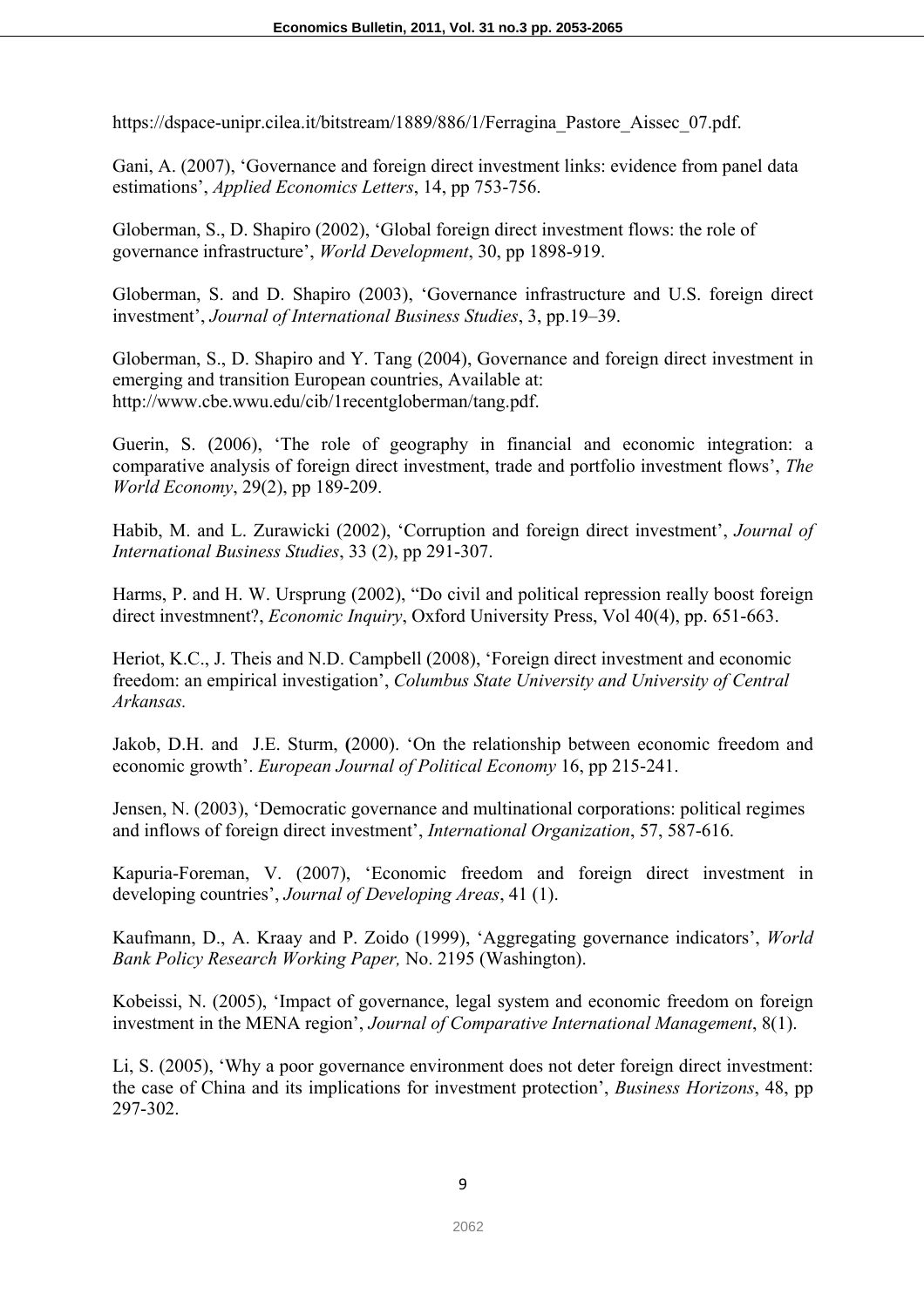https://dspace-unipr.cilea.it/bitstream/1889/886/1/Ferragina Pastore Aissec 07.pdf.

Gani, A. (2007), 'Governance and foreign direct investment links: evidence from panel data estimations', *Applied Economics Letters*, 14, pp 753-756.

Globerman, S., D. Shapiro (2002), 'Global foreign direct investment flows: the role of governance infrastructure', *World Development*, 30, pp 1898-919.

Globerman, S. and D. Shapiro (2003), 'Governance infrastructure and U.S. foreign direct investment', *Journal of International Business Studies*, 3, pp.19–39.

Globerman, S., D. Shapiro and Y. Tang (2004), Governance and foreign direct investment in emerging and transition European countries, Available at: http://www.cbe.wwu.edu/cib/1recentgloberman/tang.pdf.

Guerin, S. (2006), 'The role of geography in financial and economic integration: a comparative analysis of foreign direct investment, trade and portfolio investment flows', *The World Economy*, 29(2), pp 189-209.

Habib, M. and L. Zurawicki (2002), 'Corruption and foreign direct investment', *Journal of International Business Studies*, 33 (2), pp 291-307.

Harms, P. and H. W. Ursprung (2002), "Do civil and political repression really boost foreign direct investmnent?, *Economic Inquiry*, Oxford University Press, Vol 40(4), pp. 651-663.

Heriot, K.C., J. Theis and N.D. Campbell (2008), 'Foreign direct investment and economic freedom: an empirical investigation', *Columbus State University and University of Central Arkansas.*

Jakob, D.H. and J.E. Sturm, **(**2000). 'On the relationship between economic freedom and economic growth'. *European Journal of Political Economy* 16, pp 215-241.

Jensen, N. (2003), 'Democratic governance and multinational corporations: political regimes and inflows of foreign direct investment', *International Organization*, 57, 587-616.

Kapuria-Foreman, V. (2007), 'Economic freedom and foreign direct investment in developing countries', *Journal of Developing Areas*, 41 (1).

Kaufmann, D., A. Kraay and P. Zoido (1999), 'Aggregating governance indicators', *World Bank Policy Research Working Paper,* No. 2195 (Washington).

Kobeissi, N. (2005), 'Impact of governance, legal system and economic freedom on foreign investment in the MENA region', *Journal of Comparative International Management*, 8(1).

Li, S. (2005), 'Why a poor governance environment does not deter foreign direct investment: the case of China and its implications for investment protection', *Business Horizons*, 48, pp 297-302.

9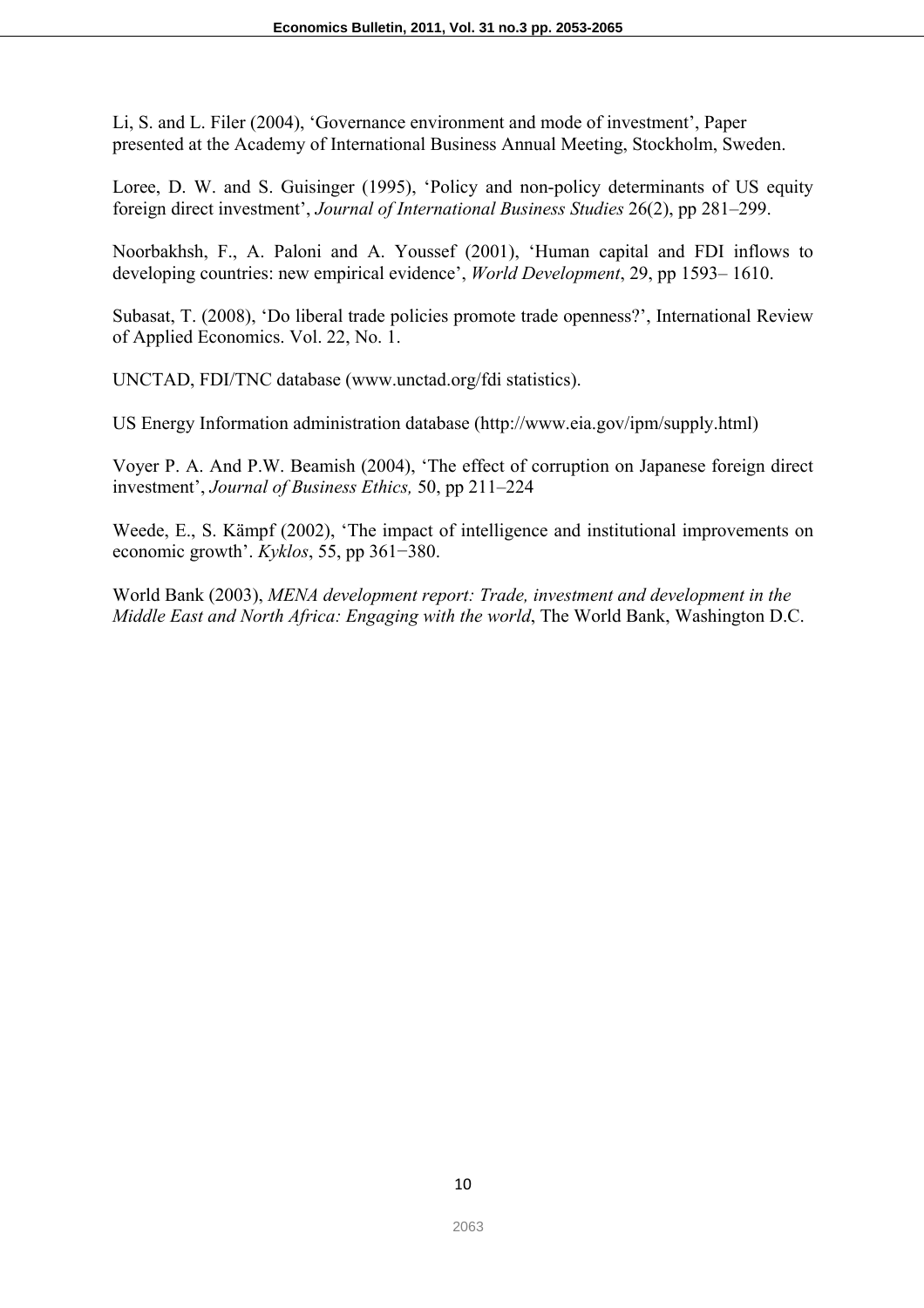Li, S. and L. Filer (2004), 'Governance environment and mode of investment', Paper presented at the Academy of International Business Annual Meeting, Stockholm, Sweden.

Loree, D. W. and S. Guisinger (1995), 'Policy and non-policy determinants of US equity foreign direct investment', *Journal of International Business Studies* 26(2), pp 281–299.

Noorbakhsh, F., A. Paloni and A. Youssef (2001), 'Human capital and FDI inflows to developing countries: new empirical evidence', *World Development*, 29, pp 1593– 1610.

Subasat, T. (2008), 'Do liberal trade policies promote trade openness?', International Review of Applied Economics. Vol. 22, No. 1.

UNCTAD, FDI/TNC database (www.unctad.org/fdi statistics).

US Energy Information administration database (http://www.eia.gov/ipm/supply.html)

Voyer P. A. And P.W. Beamish (2004), 'The effect of corruption on Japanese foreign direct investment', *Journal of Business Ethics,* 50, pp 211–224

Weede, E., S. Kämpf (2002), 'The impact of intelligence and institutional improvements on economic growth'. *Kyklos*, 55, pp 361−380.

World Bank (2003), *MENA development report: Trade, investment and development in the Middle East and North Africa: Engaging with the world*, The World Bank, Washington D.C.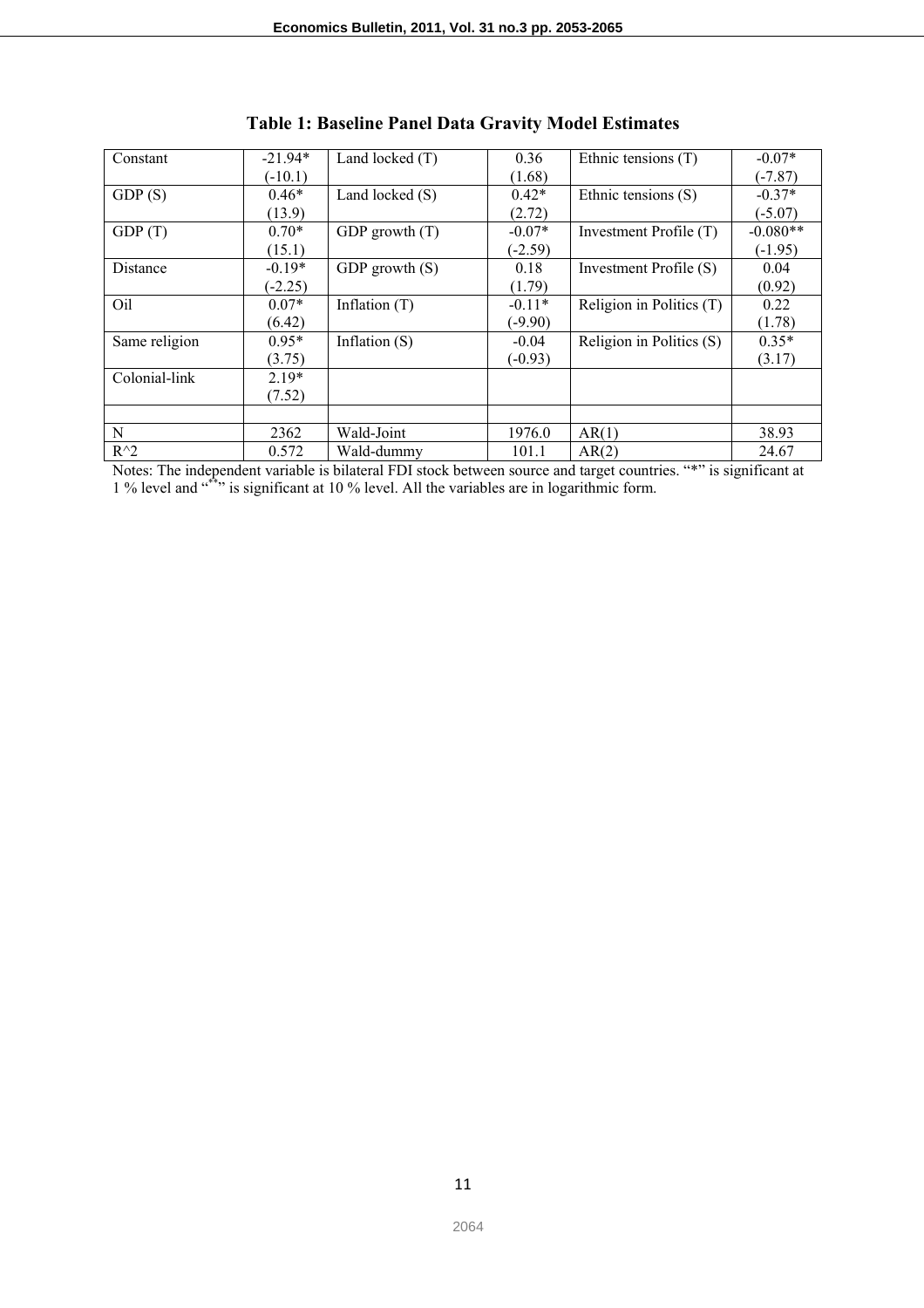| Constant      | $-21.94*$ | Land locked $(T)$ | 0.36      | Ethnic tensions (T)      | $-0.07*$   |
|---------------|-----------|-------------------|-----------|--------------------------|------------|
|               | $(-10.1)$ |                   | (1.68)    |                          | $(-7.87)$  |
| GDP(S)        | $0.46*$   | Land locked $(S)$ | $0.42*$   | Ethnic tensions (S)      | $-0.37*$   |
|               | (13.9)    |                   | (2.72)    |                          | $(-5.07)$  |
| GDP(T)        | $0.70*$   | GDP growth $(T)$  | $-0.07*$  | Investment Profile (T)   | $-0.080**$ |
|               | (15.1)    |                   | $(-2.59)$ |                          | $(-1.95)$  |
| Distance      | $-0.19*$  | GDP growth $(S)$  | 0.18      | Investment Profile (S)   | 0.04       |
|               | $(-2.25)$ |                   | (1.79)    |                          | (0.92)     |
| Oil           | $0.07*$   | Inflation $(T)$   | $-0.11*$  | Religion in Politics (T) | 0.22       |
|               | (6.42)    |                   | $(-9.90)$ |                          | (1.78)     |
| Same religion | $0.95*$   | Inflation $(S)$   | $-0.04$   | Religion in Politics (S) | $0.35*$    |
|               | (3.75)    |                   | $(-0.93)$ |                          | (3.17)     |
| Colonial-link | $2.19*$   |                   |           |                          |            |
|               | (7.52)    |                   |           |                          |            |
|               |           |                   |           |                          |            |
| N             | 2362      | Wald-Joint        | 1976.0    | AR(1)                    | 38.93      |
| $R^{\wedge}2$ | 0.572     | Wald-dummy        | 101.1     | AR(2)                    | 24.67      |

**Table 1: Baseline Panel Data Gravity Model Estimates** 

Notes: The independent variable is bilateral FDI stock between source and target countries. "\*" is significant at 1 % level and  $\cdot$ <sup>\*\*</sup>" is significant at 10 % level. All the variables are in logarithmic form.